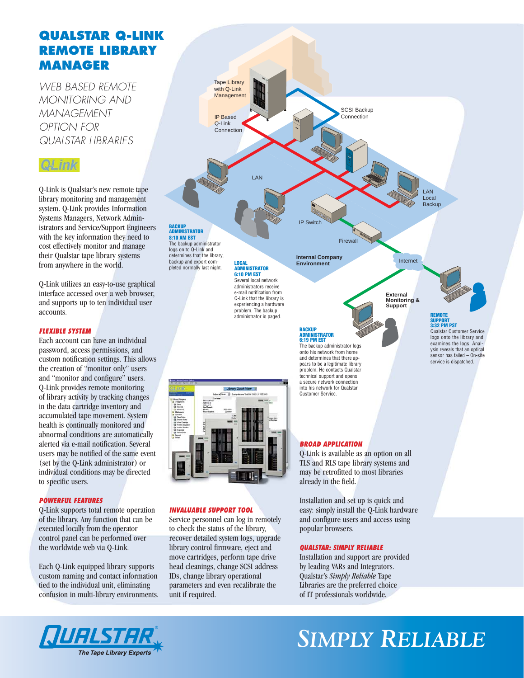# **QUALSTAR Q-LINK REMOTE LIBRARY MANAGER**

*WEB BASED REMOTE MONITORING AND MANAGEMENT OPTION FOR QUALSTAR LIBRARIES*

# QLink

Q-Link is Qualstar's new remote tape library monitoring and management system. Q-Link provides Information Systems Managers, Network Administrators and Service/Support Engineers with the key information they need to cost effectively monitor and manage their Qualstar tape library systems from anywhere in the world.

Q-Link utilizes an easy-to-use graphical interface accessed over a web browser, and supports up to ten individual user accounts.

# *FLEXIBLE SYSTEM*

Each account can have an individual password, access permissions, and custom notification settings. This allows the creation of "monitor only" users and "monitor and configure" users. Q-Link provides remote monitoring of library activity by tracking changes in the data cartridge inventory and accumulated tape movement. System health is continually monitored and abnormal conditions are automatically alerted via e-mail notification. Several users may be notified of the same event (set by the Q-Link administrator) or individual conditions may be directed to specific users.

# *POWERFUL FEATURES*

Q-Link supports total remote operation of the library. Any function that can be executed locally from the operator control panel can be performed over the worldwide web via Q-Link.

Each Q-Link equipped library supports custom naming and contact information tied to the individual unit, eliminating confusion in multi-library environments.





### *INVALUABLE SUPPORT TOOL*

Service personnel can log in remotely to check the status of the library, recover detailed system logs, upgrade library control firmware, eject and move cartridges, perform tape drive head cleanings, change SCSI address IDs, change library operational parameters and even recalibrate the unit if required.

# *BROAD APPLICATION*

Q-Link is available as an option on all TLS and RLS tape library systems and may be retrofitted to most libraries already in the field.

Installation and set up is quick and easy: simply install the Q-Link hardware and configure users and access using popular browsers.

### *QUALSTAR: SIMPLY RELIABLE*

Installation and support are provided by leading VARs and Integrators. Qualstar's *Simply Reliable* Tape Libraries are the preferred choice of IT professionals worldwide.



# *SIMPLY RELIABLE*